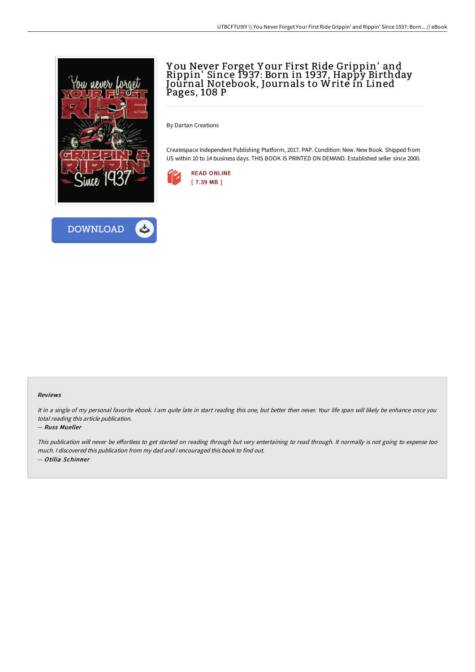

**DOWNLOAD** 

## Y ou Never Forget Y our First Ride Grippin' and Rippin' Since 1937: Born in 1937, Happy Birthday Journal Notebook, Journals to Write in Lined Pages, 108 P

By Dartan Creations

Createspace Independent Publishing Platform, 2017. PAP. Condition: New. New Book. Shipped from US within 10 to 14 business days. THIS BOOK IS PRINTED ON DEMAND. Established seller since 2000.





## Reviews

It in a single of my personal favorite ebook. I am quite late in start reading this one, but better then never. Your life span will likely be enhance once you total reading this article publication.

## -- Russ Mueller

This publication will never be effortless to get started on reading through but very entertaining to read through. It normally is not going to expense too much. <sup>I</sup> discovered this publication from my dad and i encouraged this book to find out. -- Otilia Schinner